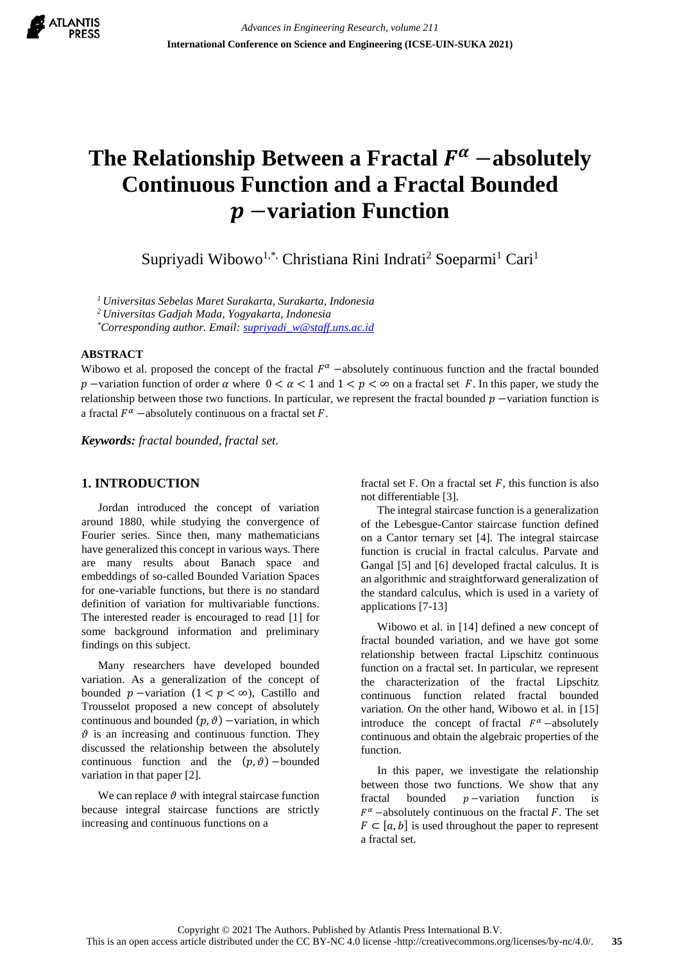

# The Relationship Between a Fractal  $F^{\alpha}$  –absolutely **Continuous Function and a Fractal Bounded**  −**variation Function**

Supriyadi Wibowo<sup>1,\*,</sup> Christiana Rini Indrati<sup>2</sup> Soeparmi<sup>1</sup> Cari<sup>1</sup>

*<sup>1</sup>Universitas Sebelas Maret Surakarta, Surakarta, Indonesia*

*<sup>2</sup>Universitas Gadjah Mada, Yogyakarta, Indonesia*

*\*Corresponding author. Email: [supriyadi\\_w@staff.uns.ac.id](mailto:supriyadi_w@staff.uns.ac.id)*

### **ABSTRACT**

Wibowo et al. proposed the concept of the fractal  $F^{\alpha}$  –absolutely continuous function and the fractal bounded p –variation function of order  $\alpha$  where  $0 < \alpha < 1$  and  $1 < p < \infty$  on a fractal set F. In this paper, we study the relationship between those two functions. In particular, we represent the fractal bounded  $p$  –variation function is a fractal  $F^{\alpha}$  -absolutely continuous on a fractal set F.

*Keywords: fractal bounded, fractal set.* 

# **1. INTRODUCTION**

Jordan introduced the concept of variation around 1880, while studying the convergence of Fourier series. Since then, many mathematicians have generalized this concept in various ways. There are many results about Banach space and embeddings of so-called Bounded Variation Spaces for one-variable functions, but there is no standard definition of variation for multivariable functions. The interested reader is encouraged to read [1] for some background information and preliminary findings on this subject.

Many researchers have developed bounded variation. As a generalization of the concept of bounded  $p$  –variation  $(1 < p < \infty)$ , Castillo and Trousselot proposed a new concept of absolutely continuous and bounded  $(p, \vartheta)$  −variation, in which  $\vartheta$  is an increasing and continuous function. They discussed the relationship between the absolutely continuous function and the  $(p, \vartheta)$  –bounded variation in that paper [2].

We can replace  $\vartheta$  with integral staircase function because integral staircase functions are strictly increasing and continuous functions on a

fractal set F. On a fractal set  $F$ , this function is also not differentiable [3].

The integral staircase function is a generalization of the Lebesgue-Cantor staircase function defined on a Cantor ternary set [4]. The integral staircase function is crucial in fractal calculus. Parvate and Gangal [5] and [6] developed fractal calculus. It is an algorithmic and straightforward generalization of the standard calculus, which is used in a variety of applications [7-13]

Wibowo et al. in [14] defined a new concept of fractal bounded variation, and we have got some relationship between fractal Lipschitz continuous function on a fractal set. In particular, we represent the characterization of the fractal Lipschitz continuous function related fractal bounded variation. On the other hand, Wibowo et al. in [15] introduce the concept of fractal  $F^{\alpha}$  –absolutely continuous and obtain the algebraic properties of the function.

In this paper, we investigate the relationship between those two functions. We show that any fractal bounded  $p$  –variation function is  $F^{\alpha}$  –absolutely continuous on the fractal F. The set  $F \subset [a, b]$  is used throughout the paper to represent a fractal set.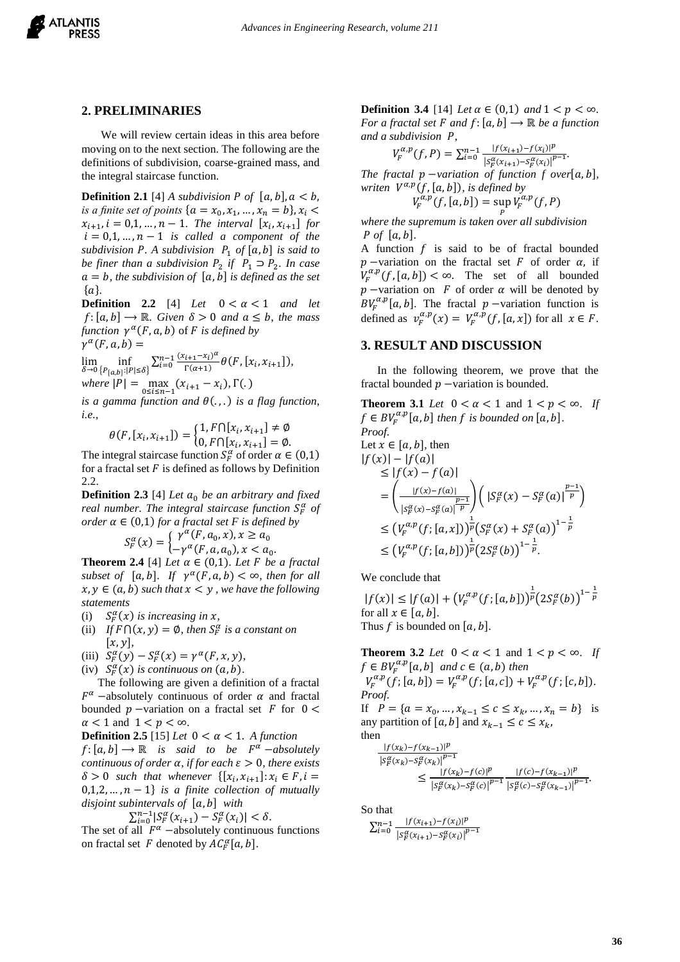

## **2. PRELIMINARIES**

We will review certain ideas in this area before moving on to the next section. The following are the definitions of subdivision, coarse-grained mass, and the integral staircase function.

**Definition 2.1** [4] *A subdivision P of*  $[a, b]$ ,  $a < b$ , *is a finite set of points*  $\{a = x_0, x_1, ..., x_n = b\}, x_i$  $x_{i+1}, i = 0, 1, ..., n-1$ . The interval  $[x_i, x_{i+1}]$  for  $i = 0, 1, ..., n - 1$  *is called a component of the subdivision P. A subdivision P<sub>1</sub> of*  $[a, b]$  *is said to be finer than a subdivision*  $P_2$  *if*  $P_1 \supset P_2$ *. In case*  $a = b$ , the subdivision of  $[a, b]$  is defined as the set  ${a}.$ 

**Definition** 2.2 [4] *Let*  $0 < \alpha < 1$  *and let*  $f:[a, b] \rightarrow \mathbb{R}$ . Given  $\delta > 0$  and  $a \leq b$ , the mass *function*  $\gamma^{\alpha}(F, a, b)$  of *F is defined by*  $\gamma^{\alpha}(F, a, b) =$ 

$$
\lim_{\delta \to 0} \inf_{\{P_{[a,b]} : |P| \le \delta\}} \sum_{i=0}^{n-1} \frac{(x_{i+1} - x_i)^{\alpha}}{\Gamma(\alpha+1)} \theta(F, [x_i, x_{i+1}]),
$$
\nwhere  $|B| = \max_{\alpha \in \mathbb{R}} (x_{i+1} - x_i) \cdot \Gamma(\alpha)$ 

 $where |P| = \max_{0 \le i \le n-1} (x_{i+1} - x_i), \Gamma(.)$ 

*is a gamma function and*  $\theta(.)$ , *is a flag function, i.e.,*

$$
\theta(F, [x_i, x_{i+1}]) = \begin{cases} 1, F \cap [x_i, x_{i+1}] \neq \emptyset \\ 0, F \cap [x_i, x_{i+1}] = \emptyset. \end{cases}
$$

The integral staircase function  $S_F^{\alpha}$  of order  $\alpha \in (0,1)$ for a fractal set  $F$  is defined as follows by Definition 2.2.

**Definition 2.3** [4] *Let*  $a_0$  *be an arbitrary and fixed real number. The integral staircase function*  $S_F^{\alpha}$  of *order*  $\alpha \in (0,1)$  *for a fractal set F is defined by* 

$$
S_F^{\alpha}(x) = \begin{cases} \gamma^{\alpha}(F, a_0, x), x \ge a_0 \\ -\gamma^{\alpha}(F, a, a_0), x < a_0 \end{cases}
$$

.

**Theorem 2.4** [4] *Let*  $\alpha \in (0,1)$ *. Let F be a fractal*  $subset of [a, b]$ *.* If  $\gamma^{\alpha}(F, a, b) < \infty$ *, then for all*  $x, y \in (a, b)$  such that  $x \leq y$ , we have the following *statements*

- (i)  $_{F}^{\alpha}(x)$  is increasing in x,
- (ii) If  $F \cap (x, y) = \emptyset$ , then  $S_F^{\alpha}$  is a constant on  $[x, y],$
- (iii)  $S_F^{\alpha}(y) S_F^{\alpha}(x) = \gamma^{\alpha}(F, x, y),$
- (iv)  $S_F^{\alpha}(x)$  is continuous on  $(a, b)$ .

The following are given a definition of a fractal  $F^{\alpha}$  –absolutely continuous of order  $\alpha$  and fractal bounded  $p$  –variation on a fractal set  $F$  for  $0 <$  $\alpha$  < 1 and 1 <  $p$  <  $\infty$ .

**Definition 2.5** [15] *Let*  $0 < \alpha < 1$ *. A function*  $f: [a, b] \rightarrow \mathbb{R}$  *is said to be*  $F^{\alpha}$  -absolutely *continuous of order*  $\alpha$ *, if for each*  $\varepsilon > 0$ *, there exists*  $\delta > 0$  such that whenever  $\{ [x_i, x_{i+1}] : x_i \in F, i =$  $0,1,2,\ldots,n-1\}$  *is a finite collection of mutually disjoint subintervals of* [a, b] with

$$
\sum_{i=0}^{n-1} |S_F^{\alpha}(x_{i+1}) - S_F^{\alpha}(x_i)| < \delta.
$$

The set of all  $F^{\alpha}$  -absolutely continuous functions on fractal set F denoted by  $AC_F^{\alpha}[a, b]$ .

**Definition 3.4** [14] *Let*  $\alpha$  ∈ (0,1) *and*  $1 < p < \infty$ *. For a fractal set F and f*:  $[a, b] \rightarrow \mathbb{R}$  *be a function* and a subdivision P,

$$
V_F^{\alpha,p}(f,P) = \sum_{i=0}^{n-1} \frac{|f(x_{i+1}) - f(x_i)|^p}{|S_F^{\alpha}(x_{i+1}) - S_F^{\alpha}(x_i)|^{p-1}}.
$$
  
fractal *p*-variation of function *f* over[

*The fractal*  $p$  −*variation of function f over*[ $\alpha$ , $\beta$ ],  $written \ V^{\alpha,p}(f,[a,b]),$  *is defined by*  $V_F^{\alpha,p}(f,[a,b]) = \sup_{F} V_F^{\alpha,p}(f,P)$ 

 *where the supremum is taken over all subdivision P* of  $[a, b]$ .

A function  $f$  is said to be of fractal bounded  $p$  −variation on the fractal set  $F$  of order  $\alpha$ , if  $V_F^{\alpha,p}(f,[a,b]) < \infty$ . The set of all bounded  $p$  –variation on  $F$  of order  $\alpha$  will be denoted by  $BV_F^{\alpha,p}[a, b]$ . The fractal  $p$  –variation function is defined as  $v_F^{\alpha,p}(x) = V_F^{\alpha,p}(f,[a,x])$  for all  $x \in F$ .

# **3. RESULT AND DISCUSSION**

In the following theorem, we prove that the fractal bounded  $p$  –variation is bounded.

**Theorem 3.1** *Let*  $0 < \alpha < 1$  and  $1 < p < \infty$ . *If*  $f \in BV_F^{\alpha,p}[a,b]$  then  $f$  is bounded on  $[a,b]$ .

Proof:  
\nLet 
$$
x \in [a, b]
$$
, then  
\n $|f(x)| - |f(a)|$   
\n $\leq |f(x) - f(a)|$   
\n $= \left( \frac{|f(x) - f(a)|}{|S_F^{\alpha}(x) - S_F^{\alpha}(a)|^{\frac{p-1}{p}}} \right) (|S_F^{\alpha}(x) - S_F^{\alpha}(a)|^{\frac{p-1}{p}})$   
\n $\leq (V_F^{\alpha, p}(f; [a, x]))^{\frac{1}{p}} (S_F^{\alpha}(x) + S_F^{\alpha}(a))^{1-\frac{1}{p}}$   
\n $\leq (V_F^{\alpha, p}(f; [a, b]))^{\frac{1}{p}} (2S_F^{\alpha}(b))^{1-\frac{1}{p}}$ .

We conclude that

 $|f(x)| \leq |f(a)| + (V_F^{\alpha,p}(f;[a,b]))^{\frac{1}{p}} (2S_F^{\alpha}(b))^{1-\frac{1}{p}}$ for all  $x \in [a, b]$ . Thus f is bounded on  $[a, b]$ .

**Theorem 3.2** *Let*  $0 < \alpha < 1$  and  $1 < p < \infty$ . *If*  $f \in BV_F^{\alpha,p}[a,b]$  and  $c \in (a,b)$  then  $V_F^{\alpha,p}(f; [a, b]) = V_F^{\alpha,p}(f; [a, c]) + V_F^{\alpha,p}(f; [c, b]).$ *Proof.* 

If  $P = \{a = x_0, ..., x_{k-1} \le c \le x_k, ..., x_n = b\}$  is any partition of [a, b] and  $x_{k-1} \leq c \leq x_k$ , then

$$
\frac{|f(x_k)-f(x_{k-1})|^p}{|S_F^{\alpha}(x_k)-S_F^{\alpha}(x_k)|^{p-1}}\leq \frac{|f(x_k)-f(c)|^p}{|S_F^{\alpha}(x_k)-S_F^{\alpha}(c)|^{p-1}}\frac{|f(c)-f(x_{k-1})|^p}{|S_F^{\alpha}(c)-S_F^{\alpha}(x_{k-1})|^{p-1}}.
$$

So that

 $\sum_{i=0}^{n-1} \frac{|f(x_{i+1}) - f(x_i)|^p}{|x_i - x_{i+1}|^p}$  $\int_{i=0}^{n-1} \frac{|f(x_{i+1})-f(x_i)|^p}{\left|S_f^{\alpha}(x_{i+1})-S_f^{\alpha}(x_i)\right|^{p-1}}$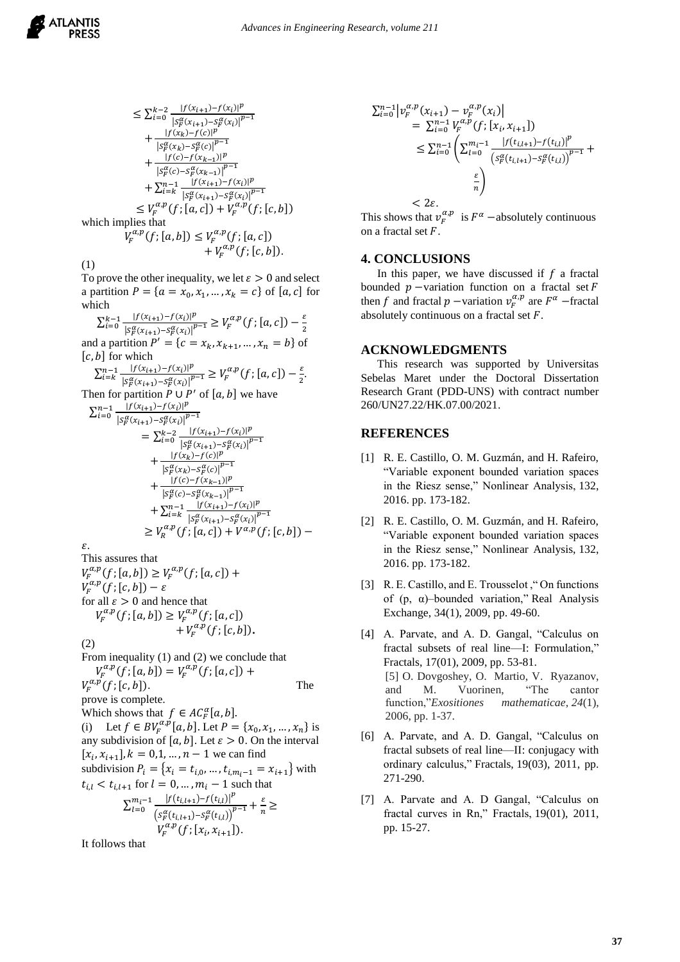$$
\leq \sum_{i=0}^{k-2} \frac{|f(x_{i+1}) - f(x_i)|^p}{|s_p^{\alpha}(x_{i+1}) - s_p^{\alpha}(x_i)|^{p-1}} + \frac{|f(x_k) - f(c)|^p}{|s_p^{\alpha}(x_k) - s_p^{\alpha}(c)|^{p-1}} + \frac{|f(c) - f(x_{k-1})|^p}{|s_p^{\alpha}(c) - s_p^{\alpha}(x_{k-1})|^{p-1}} + \sum_{i=k}^{n-1} \frac{|f(x_{i+1}) - f(x_i)|^p}{|s_p^{\alpha}(x_{i+1}) - s_p^{\alpha}(x_i)|^{p-1}} \leq V_p^{\alpha, p}(f; [a, c]) + V_p^{\alpha, p}(f; [c, b]) + V_p^{\alpha, p}(f; [c, b]).
$$

(1)

To prove the other inequality, we let  $\varepsilon > 0$  and select a partition  $P = \{a = x_0, x_1, ..., x_k = c\}$  of  $[a, c]$  for which

$$
\sum_{i=0}^{k-1} \frac{|f(x_{i+1}) - f(x_i)|^p}{|S_f^{\alpha}(x_{i+1}) - S_f^{\alpha}(x_i)|^{p-1}} \ge V_f^{\alpha, p}(f; [a, c]) - \frac{\varepsilon}{2}
$$
  
and a partition  $P' = \{c = x_k, x_{k+1}, ..., x_n = b\}$  of  
 $[c, b]$  for which  

$$
\sum_{i=k}^{n-1} \frac{|f(x_{i+1}) - f(x_i)|^p}{|S_f^{\alpha}(x_{i+1}) - S_f^{\alpha}(x_i)|^{p-1}} \ge V_f^{\alpha, p}(f; [a, c]) - \frac{\varepsilon}{2}.
$$
  
Then for partition  $P \cup P'$  of  $[a, b]$  we have  

$$
\sum_{i=0}^{n-1} \frac{|f(x_{i+1}) - f(x_i)|^p}{|S_f^{\alpha}(x_{i+1}) - S_f^{\alpha}(x_i)|^{p-1}} = \sum_{i=0}^{k-2} \frac{|f(x_{i+1}) - f(x_i)|^p}{|S_f^{\alpha}(x_{i+1}) - S_f^{\alpha}(x_i)|^{p-1}} + \frac{|f(x_k) - f(c)|^p}{|S_f^{\alpha}(x_{k-1}) - S_f^{\alpha}(x_{k-1})|^p} + \frac{|f(c) - f(x_{k-1})|^p}{|S_f^{\alpha}(c) - S_f^{\alpha}(x_{k-1})|^{p-1}} + \sum_{i=k}^{n-1} \frac{|f(x_{i+1}) - f(x_i)|^p}{|S_f^{\alpha}(x_{i+1}) - S_f^{\alpha}(x_i)|^{p-1}}
$$

 $\geq V_R^{\alpha,p}(f; [a, c]) + V^{\alpha,p}(f; [c, b]) \varepsilon$ .

This assures that  
\n
$$
V_F^{\alpha,p}(f; [a, b]) \ge V_F^{\alpha,p}(f; [a, c]) + V_F^{\alpha,p}(f; [c, b]) - \varepsilon
$$
\nfor all  $\varepsilon > 0$  and hence that  
\n
$$
V_F^{\alpha,p}(f; [a, b]) \ge V_F^{\alpha,p}(f; [a, c]) + V_F^{\alpha,p}(f; [c, b]).
$$

(2)

From inequality (1) and (2) we conclude that  
\n
$$
V_F^{\alpha,p}(f; [a, b]) = V_F^{\alpha,p}(f; [a, c]) +
$$
\n
$$
V_F^{\alpha,p}(f; [c, b]).
$$
\nThe  
\nprove is complete.  
\nWhich shows that  $f \in AC_F^{\alpha}[a, b].$ 

(i) Let  $f \in BV_F^{\alpha,p}[a,b]$ . Let  $P = \{x_0, x_1, ..., x_n\}$  is any subdivision of [a, b]. Let  $\varepsilon > 0$ . On the interval  $[x_i, x_{i+1}], k = 0,1, ..., n-1$  we can find subdivision  $P_i = \{x_i = t_{i,0}, ..., t_{i,m_i-1} = x_{i+1}\}$  with  $t_{i,l} < t_{i,l+1}$  for  $l = 0, ..., m_i - 1$  such that  $\sum_{l=0}^{m_i-1} \frac{|f(t_{i,l+1})-f(t_{i,l})|^p}{(t_{i,l+1})-f(t_{i,l+1})^p}$  $\frac{m_i-1}{l=0} \frac{|f(t_{i,l+1})-f(t_{i,l})|^r}{\left(s_f^{\alpha}(t_{i,l+1})-s_f^{\alpha}(t_{i,l})\right)^{p-1}} + \frac{\varepsilon}{n}$  $\frac{\epsilon}{n} \geq$  $V_F^{\alpha,p}(f;[x_i,x_{i+1}]).$ 

It follows that

$$
\sum_{i=0}^{n-1} |\nu_F^{\alpha, p}(x_{i+1}) - \nu_F^{\alpha, p}(x_i)|
$$
  
=  $\sum_{i=0}^{n-1} V_F^{\alpha, p}(f; [x_i, x_{i+1}])$   
 $\leq \sum_{i=0}^{n-1} \left( \sum_{l=0}^{m_i-1} \frac{|f(t_{i,l+1}) - f(t_{i,l})|^p}{\left( s_F^{\alpha}(t_{i,l+1}) - s_F^{\alpha}(t_{i,l}) \right)^{p-1}} + \frac{\varepsilon}{n} \right)$ 

 $<$  2 $\varepsilon$ . This shows that  $v_F^{\alpha,p}$  is  $F^{\alpha}$  –absolutely continuous on a fractal set  $F$ .

#### **4. CONCLUSIONS**

In this paper, we have discussed if  $f$  a fractal bounded  $p$  –variation function on a fractal set F then f and fractal  $p$  –variation  $v_F^{\alpha, p}$  are  $F^{\alpha}$  –fractal absolutely continuous on a fractal set  $F$ .

#### **ACKNOWLEDGMENTS**

This research was supported by Universitas Sebelas Maret under the Doctoral Dissertation Research Grant (PDD-UNS) with contract number 260/UN27.22/HK.07.00/2021.

#### **REFERENCES**

- [1] R. E. Castillo, O. M. Guzmán, and H. Rafeiro, "Variable exponent bounded variation spaces in the Riesz sense," Nonlinear Analysis, 132, 2016. pp. 173-182.
- [2] R. E. Castillo, O. M. Guzmán, and H. Rafeiro, "Variable exponent bounded variation spaces in the Riesz sense," Nonlinear Analysis, 132, 2016. pp. 173-182.
- [3] R. E. Castillo, and E. Trousselot ," On functions of (p, α)–bounded variation," Real Analysis Exchange, 34(1), 2009, pp. 49-60.
- [4] A. Parvate, and A. D. Gangal, "Calculus on fractal subsets of real line—I: Formulation," Fractals, 17(01), 2009, pp. 53-81. [5] O. Dovgoshey, O. Martio, V. Ryazanov, and M. Vuorinen, "The cantor function,"*Exositiones mathematicae*, *24*(1), 2006, pp. 1-37.
- [6] A. Parvate, and A. D. Gangal, "Calculus on fractal subsets of real line—II: conjugacy with ordinary calculus," Fractals, 19(03), 2011, pp. 271-290.
- [7] A. Parvate and A. D Gangal, "Calculus on fractal curves in Rn," Fractals, 19(01), 2011, pp. 15-27.